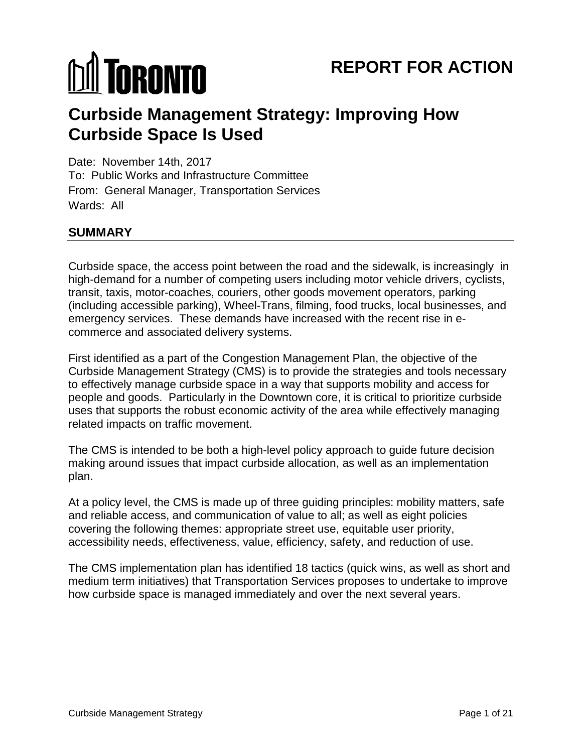# **MI TORONTO**

## **Curbside Management Strategy: Improving How Curbside Space Is Used**

Date: November 14th, 2017 To: Public Works and Infrastructure Committee From: General Manager, Transportation Services Wards: All

#### **SUMMARY**

Curbside space, the access point between the road and the sidewalk, is increasingly in high-demand for a number of competing users including motor vehicle drivers, cyclists, transit, taxis, motor-coaches, couriers, other goods movement operators, parking (including accessible parking), Wheel-Trans, filming, food trucks, local businesses, and emergency services. These demands have increased with the recent rise in ecommerce and associated delivery systems.

First identified as a part of the Congestion Management Plan, the objective of the Curbside Management Strategy (CMS) is to provide the strategies and tools necessary to effectively manage curbside space in a way that supports mobility and access for people and goods. Particularly in the Downtown core, it is critical to prioritize curbside uses that supports the robust economic activity of the area while effectively managing related impacts on traffic movement.

The CMS is intended to be both a high-level policy approach to guide future decision making around issues that impact curbside allocation, as well as an implementation plan.

At a policy level, the CMS is made up of three guiding principles: mobility matters, safe and reliable access, and communication of value to all; as well as eight policies covering the following themes: appropriate street use, equitable user priority, accessibility needs, effectiveness, value, efficiency, safety, and reduction of use.

The CMS implementation plan has identified 18 tactics (quick wins, as well as short and medium term initiatives) that Transportation Services proposes to undertake to improve how curbside space is managed immediately and over the next several years.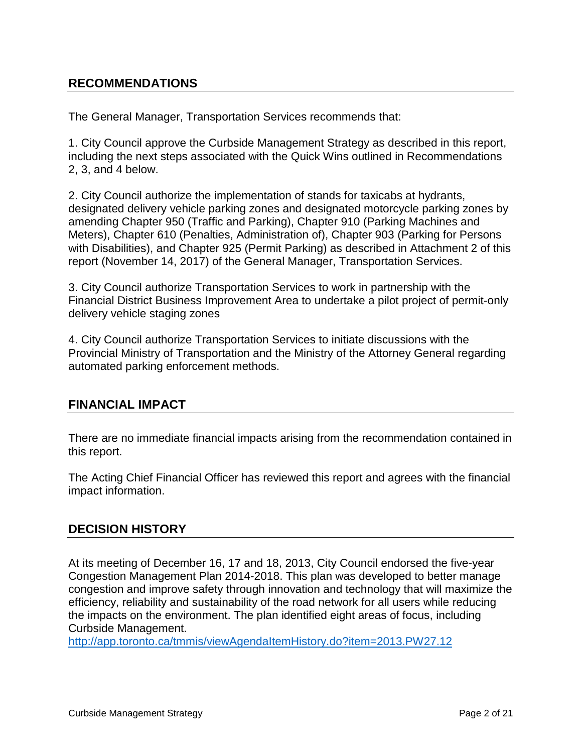#### **RECOMMENDATIONS**

The General Manager, Transportation Services recommends that:

1. City Council approve the Curbside Management Strategy as described in this report, including the next steps associated with the Quick Wins outlined in Recommendations 2, 3, and 4 below.

2. City Council authorize the implementation of stands for taxicabs at hydrants, designated delivery vehicle parking zones and designated motorcycle parking zones by amending Chapter 950 (Traffic and Parking), Chapter 910 (Parking Machines and Meters), Chapter 610 (Penalties, Administration of), Chapter 903 (Parking for Persons with Disabilities), and Chapter 925 (Permit Parking) as described in Attachment 2 of this report (November 14, 2017) of the General Manager, Transportation Services.

3. City Council authorize Transportation Services to work in partnership with the Financial District Business Improvement Area to undertake a pilot project of permit-only delivery vehicle staging zones

4. City Council authorize Transportation Services to initiate discussions with the Provincial Ministry of Transportation and the Ministry of the Attorney General regarding automated parking enforcement methods.

#### **FINANCIAL IMPACT**

There are no immediate financial impacts arising from the recommendation contained in this report.

The Acting Chief Financial Officer has reviewed this report and agrees with the financial impact information.

#### **DECISION HISTORY**

At its meeting of December 16, 17 and 18, 2013, City Council endorsed the five-year Congestion Management Plan 2014-2018. This plan was developed to better manage congestion and improve safety through innovation and technology that will maximize the efficiency, reliability and sustainability of the road network for all users while reducing the impacts on the environment. The plan identified eight areas of focus, including Curbside Management.

<http://app.toronto.ca/tmmis/viewAgendaItemHistory.do?item=2013.PW27.12>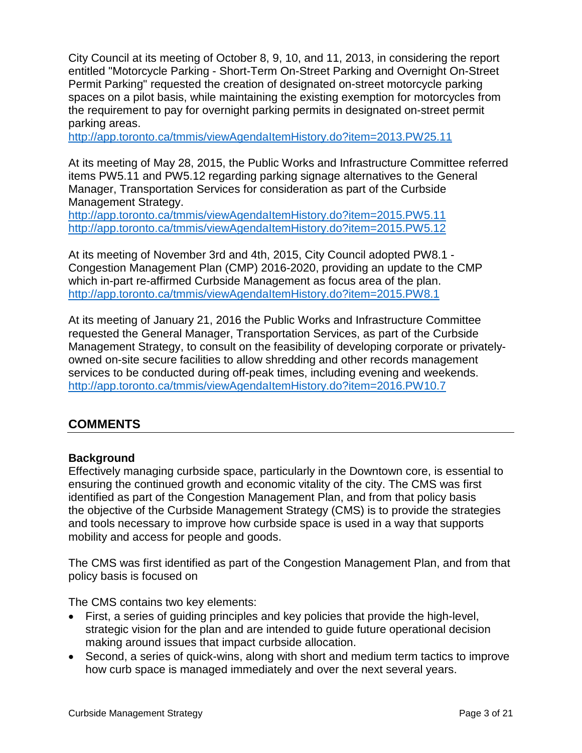City Council at its meeting of October 8, 9, 10, and 11, 2013, in considering the report entitled "Motorcycle Parking - Short-Term On-Street Parking and Overnight On-Street Permit Parking" requested the creation of designated on-street motorcycle parking spaces on a pilot basis, while maintaining the existing exemption for motorcycles from the requirement to pay for overnight parking permits in designated on-street permit parking areas.

<http://app.toronto.ca/tmmis/viewAgendaItemHistory.do?item=2013.PW25.11>

At its meeting of May 28, 2015, the Public Works and Infrastructure Committee referred items PW5.11 and PW5.12 regarding parking signage alternatives to the General Manager, Transportation Services for consideration as part of the Curbside Management Strategy.

<http://app.toronto.ca/tmmis/viewAgendaItemHistory.do?item=2015.PW5.11> <http://app.toronto.ca/tmmis/viewAgendaItemHistory.do?item=2015.PW5.12>

At its meeting of November 3rd and 4th, 2015, City Council adopted PW8.1 - Congestion Management Plan (CMP) 2016-2020, providing an update to the CMP which in-part re-affirmed Curbside Management as focus area of the plan. <http://app.toronto.ca/tmmis/viewAgendaItemHistory.do?item=2015.PW8.1>

At its meeting of January 21, 2016 the Public Works and Infrastructure Committee requested the General Manager, Transportation Services, as part of the Curbside Management Strategy, to consult on the feasibility of developing corporate or privatelyowned on-site secure facilities to allow shredding and other records management services to be conducted during off-peak times, including evening and weekends. <http://app.toronto.ca/tmmis/viewAgendaItemHistory.do?item=2016.PW10.7>

#### **COMMENTS**

#### **Background**

Effectively managing curbside space, particularly in the Downtown core, is essential to ensuring the continued growth and economic vitality of the city. The CMS was first identified as part of the Congestion Management Plan, and from that policy basis the objective of the Curbside Management Strategy (CMS) is to provide the strategies and tools necessary to improve how curbside space is used in a way that supports mobility and access for people and goods.

The CMS was first identified as part of the Congestion Management Plan, and from that policy basis is focused on

The CMS contains two key elements:

- First, a series of guiding principles and key policies that provide the high-level, strategic vision for the plan and are intended to guide future operational decision making around issues that impact curbside allocation.
- Second, a series of quick-wins, along with short and medium term tactics to improve how curb space is managed immediately and over the next several years.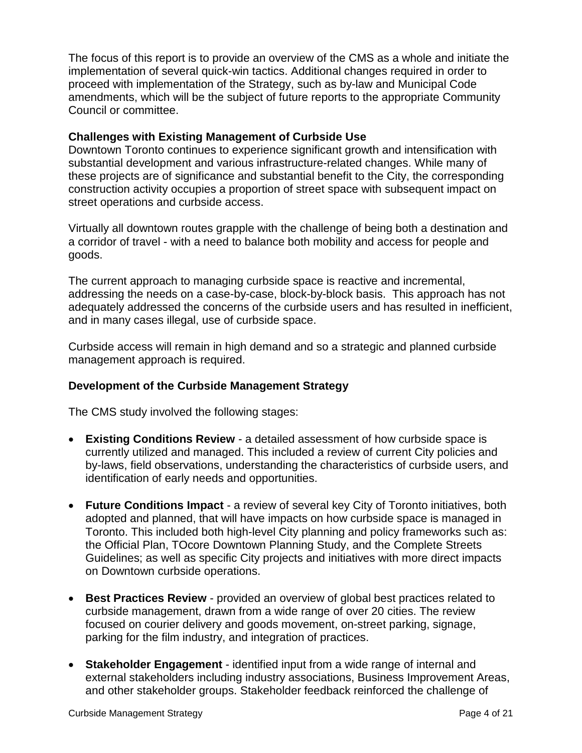The focus of this report is to provide an overview of the CMS as a whole and initiate the implementation of several quick-win tactics. Additional changes required in order to proceed with implementation of the Strategy, such as by-law and Municipal Code amendments, which will be the subject of future reports to the appropriate Community Council or committee.

#### **Challenges with Existing Management of Curbside Use**

Downtown Toronto continues to experience significant growth and intensification with substantial development and various infrastructure-related changes. While many of these projects are of significance and substantial benefit to the City, the corresponding construction activity occupies a proportion of street space with subsequent impact on street operations and curbside access.

Virtually all downtown routes grapple with the challenge of being both a destination and a corridor of travel - with a need to balance both mobility and access for people and goods.

The current approach to managing curbside space is reactive and incremental, addressing the needs on a case-by-case, block-by-block basis. This approach has not adequately addressed the concerns of the curbside users and has resulted in inefficient, and in many cases illegal, use of curbside space.

Curbside access will remain in high demand and so a strategic and planned curbside management approach is required.

#### **Development of the Curbside Management Strategy**

The CMS study involved the following stages:

- **Existing Conditions Review**  a detailed assessment of how curbside space is currently utilized and managed. This included a review of current City policies and by-laws, field observations, understanding the characteristics of curbside users, and identification of early needs and opportunities.
- **Future Conditions Impact** a review of several key City of Toronto initiatives, both adopted and planned, that will have impacts on how curbside space is managed in Toronto. This included both high-level City planning and policy frameworks such as: the Official Plan, TOcore Downtown Planning Study, and the Complete Streets Guidelines; as well as specific City projects and initiatives with more direct impacts on Downtown curbside operations.
- **Best Practices Review** provided an overview of global best practices related to curbside management, drawn from a wide range of over 20 cities. The review focused on courier delivery and goods movement, on-street parking, signage, parking for the film industry, and integration of practices.
- **Stakeholder Engagement** identified input from a wide range of internal and external stakeholders including industry associations, Business Improvement Areas, and other stakeholder groups. Stakeholder feedback reinforced the challenge of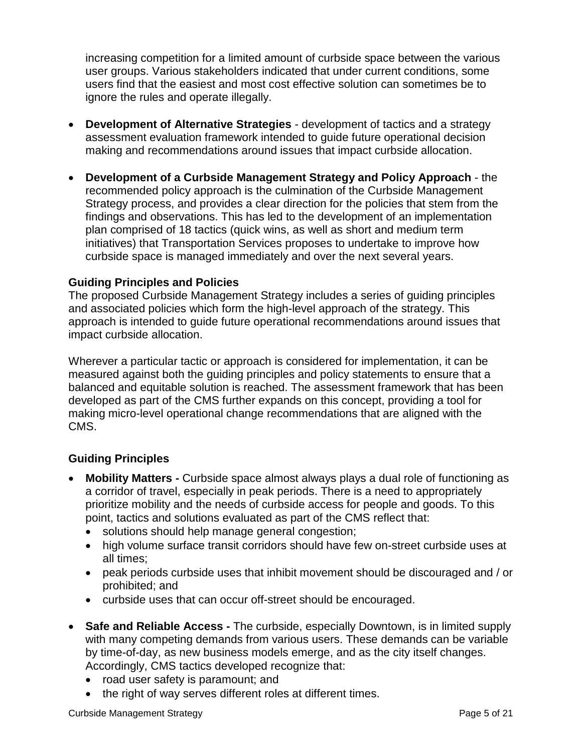increasing competition for a limited amount of curbside space between the various user groups. Various stakeholders indicated that under current conditions, some users find that the easiest and most cost effective solution can sometimes be to ignore the rules and operate illegally.

- **Development of Alternative Strategies** development of tactics and a strategy assessment evaluation framework intended to guide future operational decision making and recommendations around issues that impact curbside allocation.
- **Development of a Curbside Management Strategy and Policy Approach** the recommended policy approach is the culmination of the Curbside Management Strategy process, and provides a clear direction for the policies that stem from the findings and observations. This has led to the development of an implementation plan comprised of 18 tactics (quick wins, as well as short and medium term initiatives) that Transportation Services proposes to undertake to improve how curbside space is managed immediately and over the next several years.

#### **Guiding Principles and Policies**

The proposed Curbside Management Strategy includes a series of guiding principles and associated policies which form the high-level approach of the strategy. This approach is intended to guide future operational recommendations around issues that impact curbside allocation.

Wherever a particular tactic or approach is considered for implementation, it can be measured against both the guiding principles and policy statements to ensure that a balanced and equitable solution is reached. The assessment framework that has been developed as part of the CMS further expands on this concept, providing a tool for making micro-level operational change recommendations that are aligned with the CMS.

#### **Guiding Principles**

- **Mobility Matters -** Curbside space almost always plays a dual role of functioning as a corridor of travel, especially in peak periods. There is a need to appropriately prioritize mobility and the needs of curbside access for people and goods. To this point, tactics and solutions evaluated as part of the CMS reflect that:
	- solutions should help manage general congestion;
	- high volume surface transit corridors should have few on-street curbside uses at all times;
	- peak periods curbside uses that inhibit movement should be discouraged and / or prohibited; and
	- curbside uses that can occur off-street should be encouraged.
- **Safe and Reliable Access -** The curbside, especially Downtown, is in limited supply with many competing demands from various users. These demands can be variable by time-of-day, as new business models emerge, and as the city itself changes. Accordingly, CMS tactics developed recognize that:
	- road user safety is paramount; and
	- the right of way serves different roles at different times.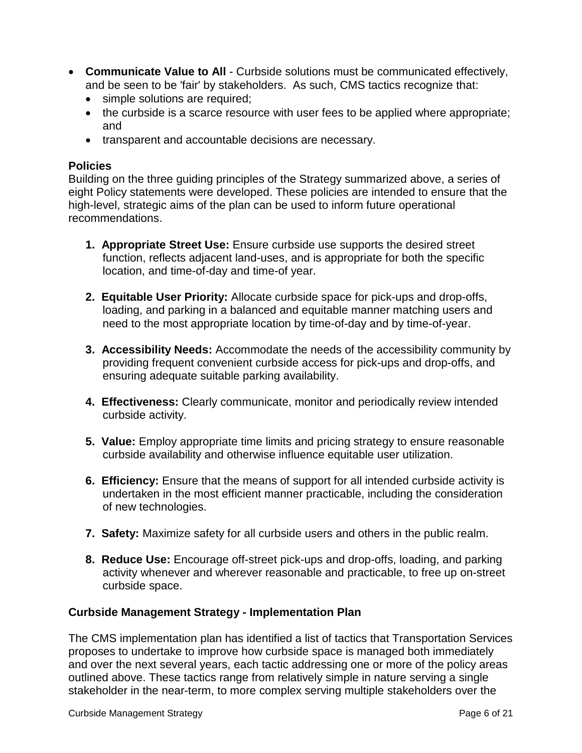- **Communicate Value to All** Curbside solutions must be communicated effectively, and be seen to be 'fair' by stakeholders. As such, CMS tactics recognize that:
	- simple solutions are required;
	- the curbside is a scarce resource with user fees to be applied where appropriate; and
	- transparent and accountable decisions are necessary.

#### **Policies**

Building on the three guiding principles of the Strategy summarized above, a series of eight Policy statements were developed. These policies are intended to ensure that the high-level, strategic aims of the plan can be used to inform future operational recommendations.

- **1. Appropriate Street Use:** Ensure curbside use supports the desired street function, reflects adjacent land-uses, and is appropriate for both the specific location, and time-of-day and time-of year.
- **2. Equitable User Priority:** Allocate curbside space for pick-ups and drop-offs, loading, and parking in a balanced and equitable manner matching users and need to the most appropriate location by time-of-day and by time-of-year.
- **3. Accessibility Needs:** Accommodate the needs of the accessibility community by providing frequent convenient curbside access for pick-ups and drop-offs, and ensuring adequate suitable parking availability.
- **4. Effectiveness:** Clearly communicate, monitor and periodically review intended curbside activity.
- **5. Value:** Employ appropriate time limits and pricing strategy to ensure reasonable curbside availability and otherwise influence equitable user utilization.
- **6. Efficiency:** Ensure that the means of support for all intended curbside activity is undertaken in the most efficient manner practicable, including the consideration of new technologies.
- **7. Safety:** Maximize safety for all curbside users and others in the public realm.
- **8. Reduce Use:** Encourage off-street pick-ups and drop-offs, loading, and parking activity whenever and wherever reasonable and practicable, to free up on-street curbside space.

#### **Curbside Management Strategy - Implementation Plan**

The CMS implementation plan has identified a list of tactics that Transportation Services proposes to undertake to improve how curbside space is managed both immediately and over the next several years, each tactic addressing one or more of the policy areas outlined above. These tactics range from relatively simple in nature serving a single stakeholder in the near-term, to more complex serving multiple stakeholders over the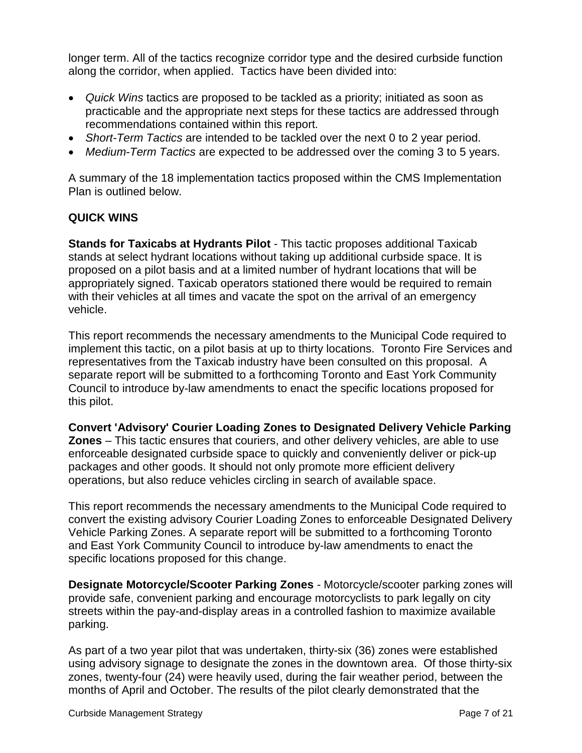longer term. All of the tactics recognize corridor type and the desired curbside function along the corridor, when applied. Tactics have been divided into:

- *Quick Wins* tactics are proposed to be tackled as a priority; initiated as soon as practicable and the appropriate next steps for these tactics are addressed through recommendations contained within this report.
- *Short-Term Tactics* are intended to be tackled over the next 0 to 2 year period.
- *Medium-Term Tactics* are expected to be addressed over the coming 3 to 5 years.

A summary of the 18 implementation tactics proposed within the CMS Implementation Plan is outlined below.

#### **QUICK WINS**

**Stands for Taxicabs at Hydrants Pilot** *-* This tactic proposes additional Taxicab stands at select hydrant locations without taking up additional curbside space. It is proposed on a pilot basis and at a limited number of hydrant locations that will be appropriately signed. Taxicab operators stationed there would be required to remain with their vehicles at all times and vacate the spot on the arrival of an emergency vehicle.

This report recommends the necessary amendments to the Municipal Code required to implement this tactic, on a pilot basis at up to thirty locations. Toronto Fire Services and representatives from the Taxicab industry have been consulted on this proposal. A separate report will be submitted to a forthcoming Toronto and East York Community Council to introduce by-law amendments to enact the specific locations proposed for this pilot.

**Convert 'Advisory' Courier Loading Zones to Designated Delivery Vehicle Parking Zones** – This tactic ensures that couriers, and other delivery vehicles, are able to use enforceable designated curbside space to quickly and conveniently deliver or pick-up packages and other goods. It should not only promote more efficient delivery operations, but also reduce vehicles circling in search of available space.

This report recommends the necessary amendments to the Municipal Code required to convert the existing advisory Courier Loading Zones to enforceable Designated Delivery Vehicle Parking Zones. A separate report will be submitted to a forthcoming Toronto and East York Community Council to introduce by-law amendments to enact the specific locations proposed for this change.

**Designate Motorcycle/Scooter Parking Zones** *-* Motorcycle/scooter parking zones will provide safe, convenient parking and encourage motorcyclists to park legally on city streets within the pay-and-display areas in a controlled fashion to maximize available parking.

As part of a two year pilot that was undertaken, thirty-six (36) zones were established using advisory signage to designate the zones in the downtown area. Of those thirty-six zones, twenty-four (24) were heavily used, during the fair weather period, between the months of April and October. The results of the pilot clearly demonstrated that the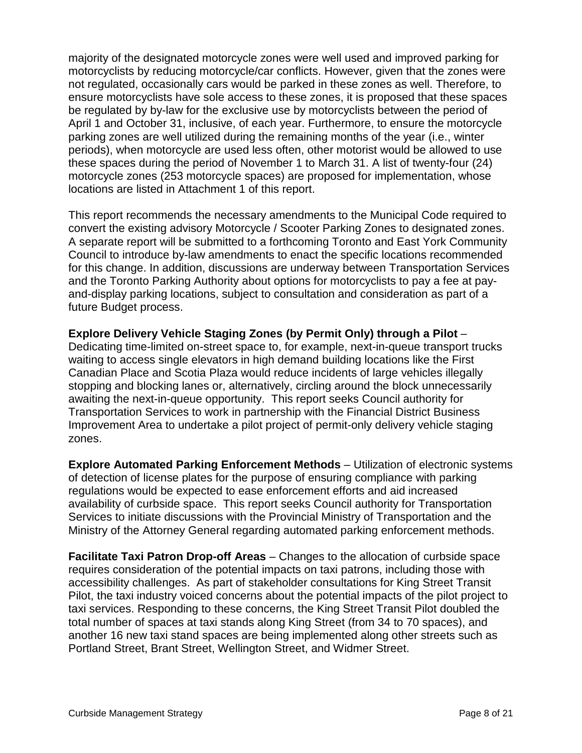majority of the designated motorcycle zones were well used and improved parking for motorcyclists by reducing motorcycle/car conflicts. However, given that the zones were not regulated, occasionally cars would be parked in these zones as well. Therefore, to ensure motorcyclists have sole access to these zones, it is proposed that these spaces be regulated by by-law for the exclusive use by motorcyclists between the period of April 1 and October 31, inclusive, of each year. Furthermore, to ensure the motorcycle parking zones are well utilized during the remaining months of the year (i.e., winter periods), when motorcycle are used less often, other motorist would be allowed to use these spaces during the period of November 1 to March 31. A list of twenty-four (24) motorcycle zones (253 motorcycle spaces) are proposed for implementation, whose locations are listed in Attachment 1 of this report.

This report recommends the necessary amendments to the Municipal Code required to convert the existing advisory Motorcycle / Scooter Parking Zones to designated zones. A separate report will be submitted to a forthcoming Toronto and East York Community Council to introduce by-law amendments to enact the specific locations recommended for this change. In addition, discussions are underway between Transportation Services and the Toronto Parking Authority about options for motorcyclists to pay a fee at payand-display parking locations, subject to consultation and consideration as part of a future Budget process.

**Explore Delivery Vehicle Staging Zones (by Permit Only) through a Pilot** – Dedicating time-limited on-street space to, for example, next-in-queue transport trucks waiting to access single elevators in high demand building locations like the First Canadian Place and Scotia Plaza would reduce incidents of large vehicles illegally stopping and blocking lanes or, alternatively, circling around the block unnecessarily awaiting the next-in-queue opportunity. This report seeks Council authority for Transportation Services to work in partnership with the Financial District Business Improvement Area to undertake a pilot project of permit-only delivery vehicle staging zones.

**Explore Automated Parking Enforcement Methods** – Utilization of electronic systems of detection of license plates for the purpose of ensuring compliance with parking regulations would be expected to ease enforcement efforts and aid increased availability of curbside space. This report seeks Council authority for Transportation Services to initiate discussions with the Provincial Ministry of Transportation and the Ministry of the Attorney General regarding automated parking enforcement methods.

**Facilitate Taxi Patron Drop-off Areas** – Changes to the allocation of curbside space requires consideration of the potential impacts on taxi patrons, including those with accessibility challenges. As part of stakeholder consultations for King Street Transit Pilot, the taxi industry voiced concerns about the potential impacts of the pilot project to taxi services. Responding to these concerns, the King Street Transit Pilot doubled the total number of spaces at taxi stands along King Street (from 34 to 70 spaces), and another 16 new taxi stand spaces are being implemented along other streets such as Portland Street, Brant Street, Wellington Street, and Widmer Street.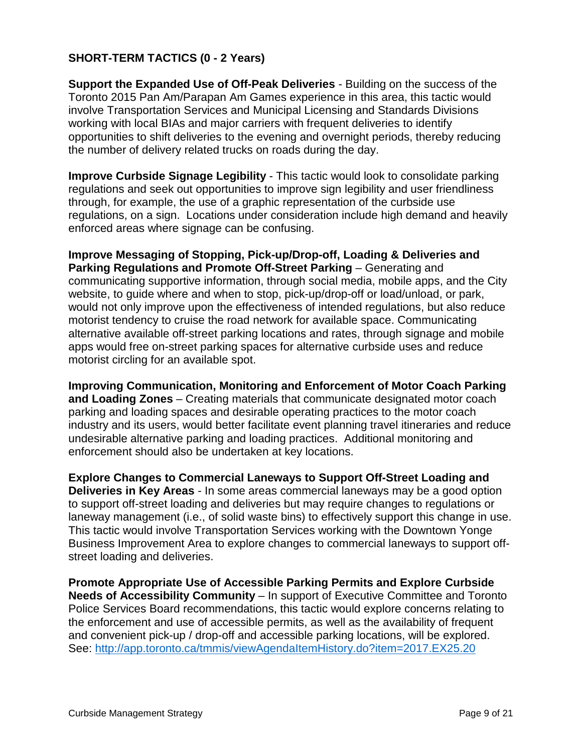#### **SHORT-TERM TACTICS (0 - 2 Years)**

**Support the Expanded Use of Off-Peak Deliveries** - Building on the success of the Toronto 2015 Pan Am/Parapan Am Games experience in this area, this tactic would involve Transportation Services and Municipal Licensing and Standards Divisions working with local BIAs and major carriers with frequent deliveries to identify opportunities to shift deliveries to the evening and overnight periods, thereby reducing the number of delivery related trucks on roads during the day.

**Improve Curbside Signage Legibility** - This tactic would look to consolidate parking regulations and seek out opportunities to improve sign legibility and user friendliness through, for example, the use of a graphic representation of the curbside use regulations, on a sign. Locations under consideration include high demand and heavily enforced areas where signage can be confusing.

**Improve Messaging of Stopping, Pick-up/Drop-off, Loading & Deliveries and Parking Regulations and Promote Off-Street Parking** – Generating and communicating supportive information, through social media, mobile apps, and the City website, to guide where and when to stop, pick-up/drop-off or load/unload, or park, would not only improve upon the effectiveness of intended regulations, but also reduce motorist tendency to cruise the road network for available space. Communicating alternative available off-street parking locations and rates, through signage and mobile apps would free on-street parking spaces for alternative curbside uses and reduce motorist circling for an available spot.

**Improving Communication, Monitoring and Enforcement of Motor Coach Parking and Loading Zones** *–* Creating materials that communicate designated motor coach parking and loading spaces and desirable operating practices to the motor coach industry and its users, would better facilitate event planning travel itineraries and reduce undesirable alternative parking and loading practices. Additional monitoring and enforcement should also be undertaken at key locations.

**Explore Changes to Commercial Laneways to Support Off-Street Loading and Deliveries in Key Areas** - In some areas commercial laneways may be a good option to support off-street loading and deliveries but may require changes to regulations or laneway management (i.e., of solid waste bins) to effectively support this change in use. This tactic would involve Transportation Services working with the Downtown Yonge Business Improvement Area to explore changes to commercial laneways to support offstreet loading and deliveries.

**Promote Appropriate Use of Accessible Parking Permits and Explore Curbside Needs of Accessibility Community** – In support of Executive Committee and Toronto Police Services Board recommendations, this tactic would explore concerns relating to the enforcement and use of accessible permits, as well as the availability of frequent and convenient pick-up / drop-off and accessible parking locations, will be explored. See:<http://app.toronto.ca/tmmis/viewAgendaItemHistory.do?item=2017.EX25.20>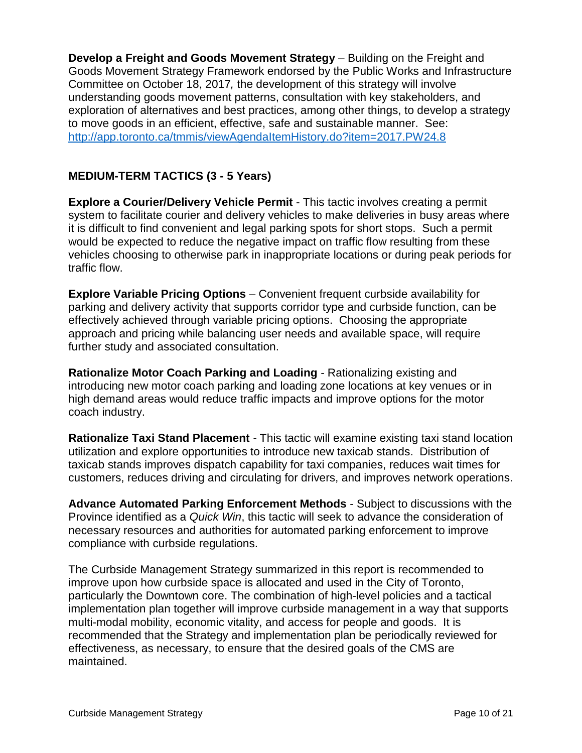**Develop a Freight and Goods Movement Strategy** – Building on the Freight and Goods Movement Strategy Framework endorsed by the Public Works and Infrastructure Committee on October 18, 2017*,* the development of this strategy will involve understanding goods movement patterns, consultation with key stakeholders, and exploration of alternatives and best practices, among other things, to develop a strategy to move goods in an efficient, effective, safe and sustainable manner. See: <http://app.toronto.ca/tmmis/viewAgendaItemHistory.do?item=2017.PW24.8>

#### **MEDIUM-TERM TACTICS (3 - 5 Years)**

**Explore a Courier/Delivery Vehicle Permit** - This tactic involves creating a permit system to facilitate courier and delivery vehicles to make deliveries in busy areas where it is difficult to find convenient and legal parking spots for short stops. Such a permit would be expected to reduce the negative impact on traffic flow resulting from these vehicles choosing to otherwise park in inappropriate locations or during peak periods for traffic flow.

**Explore Variable Pricing Options** *–* Convenient frequent curbside availability for parking and delivery activity that supports corridor type and curbside function, can be effectively achieved through variable pricing options. Choosing the appropriate approach and pricing while balancing user needs and available space, will require further study and associated consultation.

**Rationalize Motor Coach Parking and Loading** *-* Rationalizing existing and introducing new motor coach parking and loading zone locations at key venues or in high demand areas would reduce traffic impacts and improve options for the motor coach industry.

**Rationalize Taxi Stand Placement** *-* This tactic will examine existing taxi stand location utilization and explore opportunities to introduce new taxicab stands. Distribution of taxicab stands improves dispatch capability for taxi companies, reduces wait times for customers, reduces driving and circulating for drivers, and improves network operations.

**Advance Automated Parking Enforcement Methods** - Subject to discussions with the Province identified as a *Quick Win*, this tactic will seek to advance the consideration of necessary resources and authorities for automated parking enforcement to improve compliance with curbside regulations.

The Curbside Management Strategy summarized in this report is recommended to improve upon how curbside space is allocated and used in the City of Toronto, particularly the Downtown core. The combination of high-level policies and a tactical implementation plan together will improve curbside management in a way that supports multi-modal mobility, economic vitality, and access for people and goods. It is recommended that the Strategy and implementation plan be periodically reviewed for effectiveness, as necessary, to ensure that the desired goals of the CMS are maintained.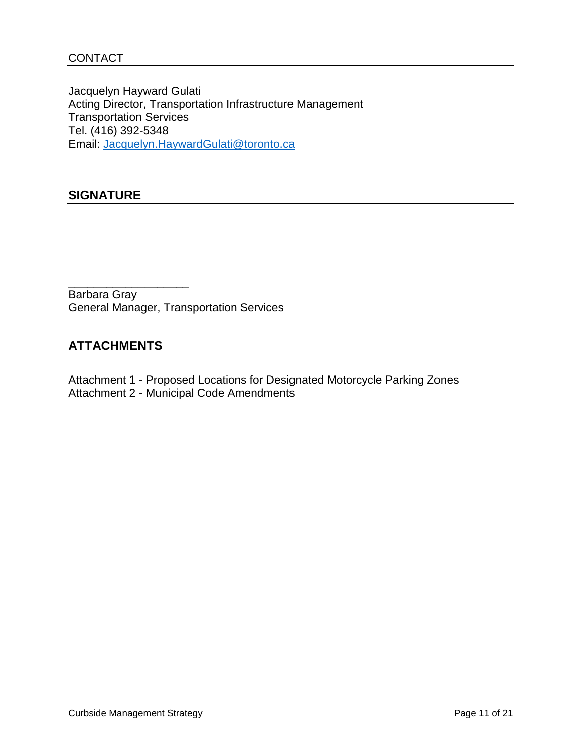Jacquelyn Hayward Gulati Acting Director, Transportation Infrastructure Management Transportation Services Tel. (416) 392-5348 Email: [Jacquelyn.HaywardGulati@toronto.ca](mailto:Jacquelyn.HaywardGulati@toronto.ca)

#### **SIGNATURE**

Barbara Gray General Manager, Transportation Services

#### **ATTACHMENTS**

\_\_\_\_\_\_\_\_\_\_\_\_\_\_\_\_\_\_\_

Attachment 1 - Proposed Locations for Designated Motorcycle Parking Zones Attachment 2 - Municipal Code Amendments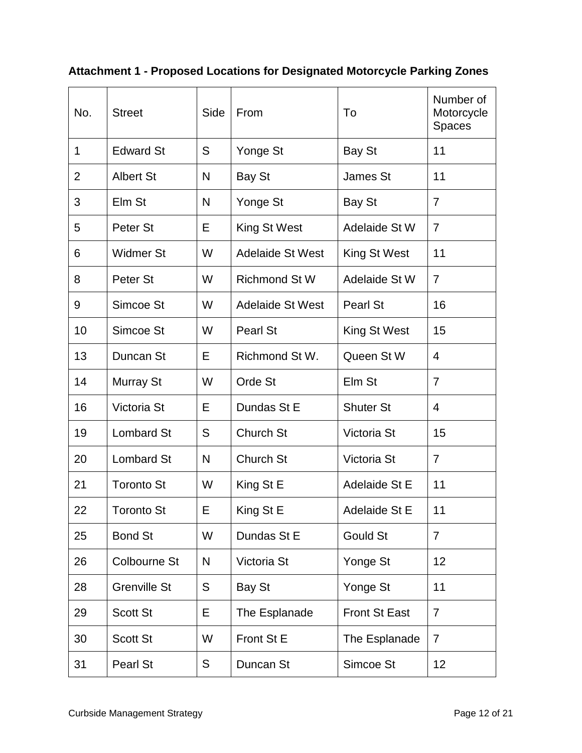### **Attachment 1 - Proposed Locations for Designated Motorcycle Parking Zones**

| No.            | <b>Street</b>       | Side | From                    | To                   | Number of<br>Motorcycle<br><b>Spaces</b> |
|----------------|---------------------|------|-------------------------|----------------------|------------------------------------------|
| 1              | <b>Edward St</b>    | S    |                         |                      | 11                                       |
|                |                     |      | Yonge St                | Bay St               |                                          |
| $\overline{2}$ | <b>Albert St</b>    | N    | Bay St                  | James St             | 11                                       |
| 3              | Elm St              | N    | Yonge St                | Bay St               | $\overline{7}$                           |
| 5              | Peter St            | E    | King St West            | Adelaide St W        | $\overline{7}$                           |
| 6              | <b>Widmer St</b>    | W    | <b>Adelaide St West</b> | King St West         | 11                                       |
| 8              | Peter St            | W    | <b>Richmond St W</b>    | Adelaide St W        | $\overline{7}$                           |
| 9              | Simcoe St           | W    | <b>Adelaide St West</b> | Pearl St             | 16                                       |
| 10             | Simcoe St           | W    | <b>Pearl St</b>         | King St West         | 15                                       |
| 13             | Duncan St           | Е    | Richmond St W.          | Queen St W           | $\overline{4}$                           |
| 14             | Murray St           | W    | Orde St                 | Elm St               | $\overline{7}$                           |
| 16             | Victoria St         | E    | Dundas St E             | <b>Shuter St</b>     | 4                                        |
| 19             | <b>Lombard St</b>   | S    | Church St               | Victoria St          | 15                                       |
| 20             | <b>Lombard St</b>   | N    | Church St               | Victoria St          | $\overline{7}$                           |
| 21             | <b>Toronto St</b>   | W    | King St E               | Adelaide St E        | 11                                       |
| 22             | <b>Toronto St</b>   | E    | King St E               | Adelaide St E        | 11                                       |
| 25             | <b>Bond St</b>      | W    | Dundas St E             | <b>Gould St</b>      | $\overline{7}$                           |
| 26             | <b>Colbourne St</b> | N    | Victoria St             | Yonge St             | 12                                       |
| 28             | <b>Grenville St</b> | S    | <b>Bay St</b>           | Yonge St             | 11                                       |
| 29             | <b>Scott St</b>     | Е    | The Esplanade           | <b>Front St East</b> | $\overline{7}$                           |
| 30             | <b>Scott St</b>     | W    | Front St E              | The Esplanade        | $\overline{7}$                           |
| 31             | Pearl St            | S    | Duncan St               | Simcoe St            | 12                                       |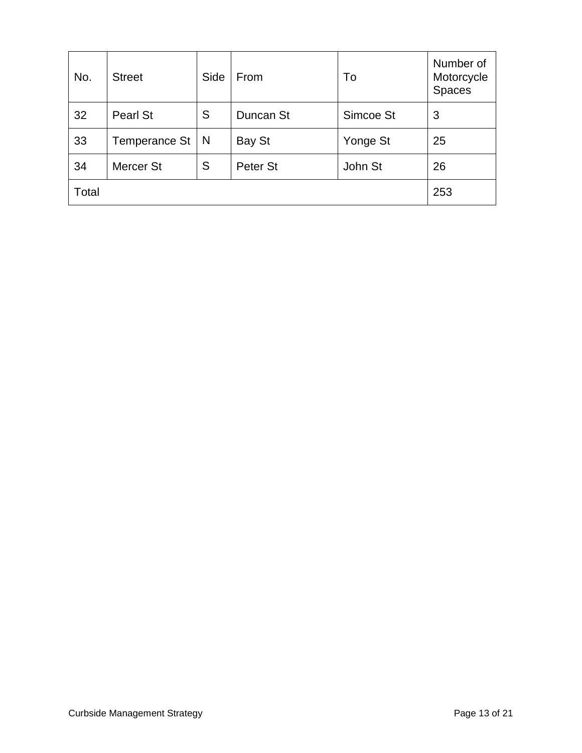| No.   | <b>Street</b>    | Side | From      | To        | Number of<br>Motorcycle<br><b>Spaces</b> |
|-------|------------------|------|-----------|-----------|------------------------------------------|
| 32    | Pearl St         | S    | Duncan St | Simcoe St | 3                                        |
| 33    | Temperance St    | N    | Bay St    | Yonge St  | 25                                       |
| 34    | <b>Mercer St</b> | S    | Peter St  | John St   | 26                                       |
| Total |                  |      |           |           | 253                                      |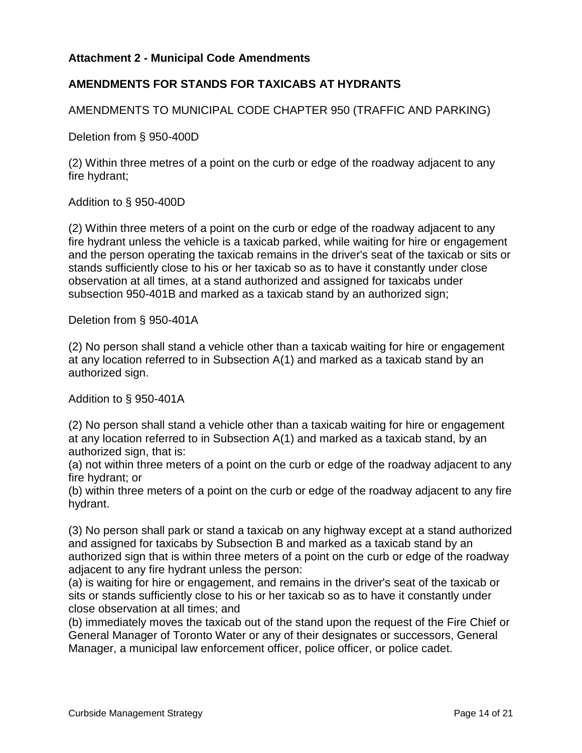#### **Attachment 2 - Municipal Code Amendments**

#### **AMENDMENTS FOR STANDS FOR TAXICABS AT HYDRANTS**

AMENDMENTS TO MUNICIPAL CODE CHAPTER 950 (TRAFFIC AND PARKING)

Deletion from § 950-400D

(2) Within three metres of a point on the curb or edge of the roadway adjacent to any fire hydrant;

Addition to § 950-400D

(2) Within three meters of a point on the curb or edge of the roadway adjacent to any fire hydrant unless the vehicle is a taxicab parked, while waiting for hire or engagement and the person operating the taxicab remains in the driver's seat of the taxicab or sits or stands sufficiently close to his or her taxicab so as to have it constantly under close observation at all times, at a stand authorized and assigned for taxicabs under subsection 950-401B and marked as a taxicab stand by an authorized sign;

Deletion from § 950-401A

(2) No person shall stand a vehicle other than a taxicab waiting for hire or engagement at any location referred to in Subsection A(1) and marked as a taxicab stand by an authorized sign.

Addition to § 950-401A

(2) No person shall stand a vehicle other than a taxicab waiting for hire or engagement at any location referred to in Subsection A(1) and marked as a taxicab stand, by an authorized sign, that is:

(a) not within three meters of a point on the curb or edge of the roadway adjacent to any fire hydrant; or

(b) within three meters of a point on the curb or edge of the roadway adjacent to any fire hydrant.

(3) No person shall park or stand a taxicab on any highway except at a stand authorized and assigned for taxicabs by Subsection B and marked as a taxicab stand by an authorized sign that is within three meters of a point on the curb or edge of the roadway adjacent to any fire hydrant unless the person:

(a) is waiting for hire or engagement, and remains in the driver's seat of the taxicab or sits or stands sufficiently close to his or her taxicab so as to have it constantly under close observation at all times; and

(b) immediately moves the taxicab out of the stand upon the request of the Fire Chief or General Manager of Toronto Water or any of their designates or successors, General Manager, a municipal law enforcement officer, police officer, or police cadet.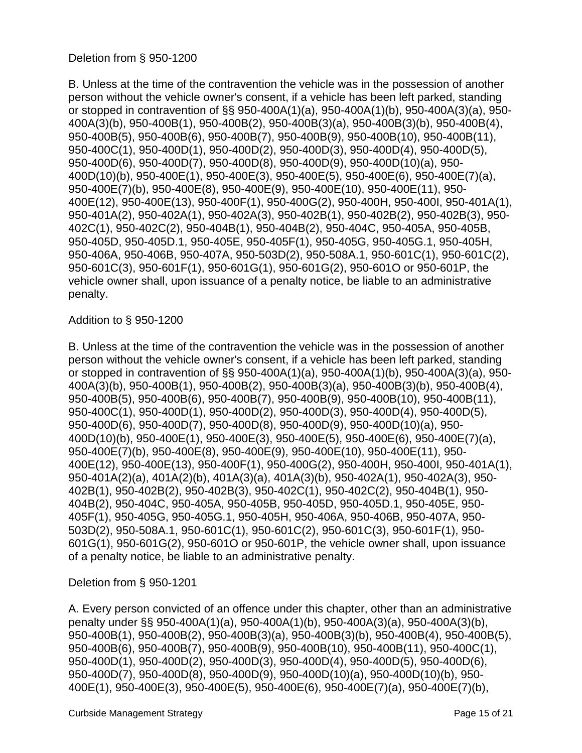B. Unless at the time of the contravention the vehicle was in the possession of another person without the vehicle owner's consent, if a vehicle has been left parked, standing or stopped in contravention of §§ 950-400A(1)(a), 950-400A(1)(b), 950-400A(3)(a), 950- 400A(3)(b), 950-400B(1), 950-400B(2), 950-400B(3)(a), 950-400B(3)(b), 950-400B(4), 950-400B(5), 950-400B(6), 950-400B(7), 950-400B(9), 950-400B(10), 950-400B(11), 950-400C(1), 950-400D(1), 950-400D(2), 950-400D(3), 950-400D(4), 950-400D(5), 950-400D(6), 950-400D(7), 950-400D(8), 950-400D(9), 950-400D(10)(a), 950- 400D(10)(b), 950-400E(1), 950-400E(3), 950-400E(5), 950-400E(6), 950-400E(7)(a), 950-400E(7)(b), 950-400E(8), 950-400E(9), 950-400E(10), 950-400E(11), 950- 400E(12), 950-400E(13), 950-400F(1), 950-400G(2), 950-400H, 950-400I, 950-401A(1), 950-401A(2), 950-402A(1), 950-402A(3), 950-402B(1), 950-402B(2), 950-402B(3), 950- 402C(1), 950-402C(2), 950-404B(1), 950-404B(2), 950-404C, 950-405A, 950-405B, 950-405D, 950-405D.1, 950-405E, 950-405F(1), 950-405G, 950-405G.1, 950-405H, 950-406A, 950-406B, 950-407A, 950-503D(2), 950-508A.1, 950-601C(1), 950-601C(2), 950-601C(3), 950-601F(1), 950-601G(1), 950-601G(2), 950-601O or 950-601P, the vehicle owner shall, upon issuance of a penalty notice, be liable to an administrative penalty.

#### Addition to § 950-1200

B. Unless at the time of the contravention the vehicle was in the possession of another person without the vehicle owner's consent, if a vehicle has been left parked, standing or stopped in contravention of §§ 950-400A(1)(a), 950-400A(1)(b), 950-400A(3)(a), 950- 400A(3)(b), 950-400B(1), 950-400B(2), 950-400B(3)(a), 950-400B(3)(b), 950-400B(4), 950-400B(5), 950-400B(6), 950-400B(7), 950-400B(9), 950-400B(10), 950-400B(11), 950-400C(1), 950-400D(1), 950-400D(2), 950-400D(3), 950-400D(4), 950-400D(5), 950-400D(6), 950-400D(7), 950-400D(8), 950-400D(9), 950-400D(10)(a), 950- 400D(10)(b), 950-400E(1), 950-400E(3), 950-400E(5), 950-400E(6), 950-400E(7)(a), 950-400E(7)(b), 950-400E(8), 950-400E(9), 950-400E(10), 950-400E(11), 950- 400E(12), 950-400E(13), 950-400F(1), 950-400G(2), 950-400H, 950-400I, 950-401A(1), 950-401A(2)(a), 401A(2)(b), 401A(3)(a), 401A(3)(b), 950-402A(1), 950-402A(3), 950- 402B(1), 950-402B(2), 950-402B(3), 950-402C(1), 950-402C(2), 950-404B(1), 950- 404B(2), 950-404C, 950-405A, 950-405B, 950-405D, 950-405D.1, 950-405E, 950- 405F(1), 950-405G, 950-405G.1, 950-405H, 950-406A, 950-406B, 950-407A, 950- 503D(2), 950-508A.1, 950-601C(1), 950-601C(2), 950-601C(3), 950-601F(1), 950- 601G(1), 950-601G(2), 950-601O or 950-601P, the vehicle owner shall, upon issuance of a penalty notice, be liable to an administrative penalty.

#### Deletion from § 950-1201

A. Every person convicted of an offence under this chapter, other than an administrative penalty under §§ 950-400A(1)(a), 950-400A(1)(b), 950-400A(3)(a), 950-400A(3)(b), 950-400B(1), 950-400B(2), 950-400B(3)(a), 950-400B(3)(b), 950-400B(4), 950-400B(5), 950-400B(6), 950-400B(7), 950-400B(9), 950-400B(10), 950-400B(11), 950-400C(1), 950-400D(1), 950-400D(2), 950-400D(3), 950-400D(4), 950-400D(5), 950-400D(6), 950-400D(7), 950-400D(8), 950-400D(9), 950-400D(10)(a), 950-400D(10)(b), 950- 400E(1), 950-400E(3), 950-400E(5), 950-400E(6), 950-400E(7)(a), 950-400E(7)(b),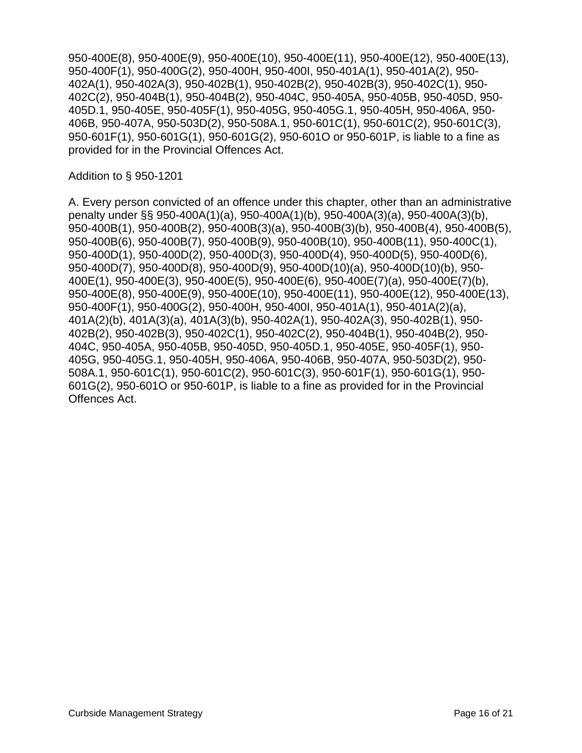950-400E(8), 950-400E(9), 950-400E(10), 950-400E(11), 950-400E(12), 950-400E(13), 950-400F(1), 950-400G(2), 950-400H, 950-400I, 950-401A(1), 950-401A(2), 950- 402A(1), 950-402A(3), 950-402B(1), 950-402B(2), 950-402B(3), 950-402C(1), 950- 402C(2), 950-404B(1), 950-404B(2), 950-404C, 950-405A, 950-405B, 950-405D, 950- 405D.1, 950-405E, 950-405F(1), 950-405G, 950-405G.1, 950-405H, 950-406A, 950- 406B, 950-407A, 950-503D(2), 950-508A.1, 950-601C(1), 950-601C(2), 950-601C(3), 950-601F(1), 950-601G(1), 950-601G(2), 950-601O or 950-601P, is liable to a fine as provided for in the Provincial Offences Act.

#### Addition to § 950-1201

A. Every person convicted of an offence under this chapter, other than an administrative penalty under §§ 950-400A(1)(a), 950-400A(1)(b), 950-400A(3)(a), 950-400A(3)(b), 950-400B(1), 950-400B(2), 950-400B(3)(a), 950-400B(3)(b), 950-400B(4), 950-400B(5), 950-400B(6), 950-400B(7), 950-400B(9), 950-400B(10), 950-400B(11), 950-400C(1), 950-400D(1), 950-400D(2), 950-400D(3), 950-400D(4), 950-400D(5), 950-400D(6), 950-400D(7), 950-400D(8), 950-400D(9), 950-400D(10)(a), 950-400D(10)(b), 950- 400E(1), 950-400E(3), 950-400E(5), 950-400E(6), 950-400E(7)(a), 950-400E(7)(b), 950-400E(8), 950-400E(9), 950-400E(10), 950-400E(11), 950-400E(12), 950-400E(13), 950-400F(1), 950-400G(2), 950-400H, 950-400I, 950-401A(1), 950-401A(2)(a), 401A(2)(b), 401A(3)(a), 401A(3)(b), 950-402A(1), 950-402A(3), 950-402B(1), 950- 402B(2), 950-402B(3), 950-402C(1), 950-402C(2), 950-404B(1), 950-404B(2), 950- 404C, 950-405A, 950-405B, 950-405D, 950-405D.1, 950-405E, 950-405F(1), 950- 405G, 950-405G.1, 950-405H, 950-406A, 950-406B, 950-407A, 950-503D(2), 950- 508A.1, 950-601C(1), 950-601C(2), 950-601C(3), 950-601F(1), 950-601G(1), 950- 601G(2), 950-601O or 950-601P, is liable to a fine as provided for in the Provincial Offences Act.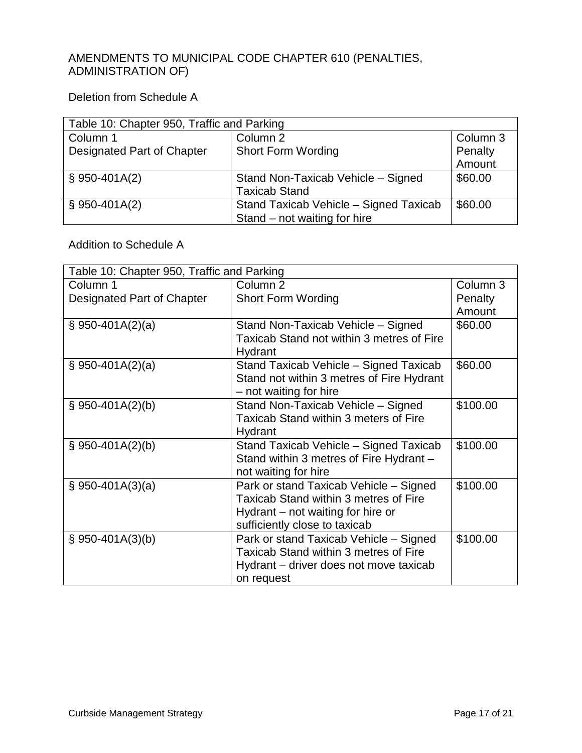#### AMENDMENTS TO MUNICIPAL CODE CHAPTER 610 (PENALTIES, ADMINISTRATION OF)

#### Deletion from Schedule A

| Table 10: Chapter 950, Traffic and Parking |                                        |          |  |
|--------------------------------------------|----------------------------------------|----------|--|
| Column 1                                   | Column 2                               | Column 3 |  |
| Designated Part of Chapter                 | <b>Short Form Wording</b>              |          |  |
|                                            |                                        | Amount   |  |
| $$950-401A(2)$                             | Stand Non-Taxicab Vehicle - Signed     | \$60.00  |  |
|                                            | <b>Taxicab Stand</b>                   |          |  |
| $$950-401A(2)$                             | Stand Taxicab Vehicle - Signed Taxicab | \$60.00  |  |
|                                            | Stand – not waiting for hire           |          |  |

#### Addition to Schedule A

| Table 10: Chapter 950, Traffic and Parking |                                           |          |  |
|--------------------------------------------|-------------------------------------------|----------|--|
| Column 1                                   | Column <sub>2</sub>                       | Column 3 |  |
| Designated Part of Chapter                 | <b>Short Form Wording</b>                 | Penalty  |  |
|                                            |                                           | Amount   |  |
| $$950-401A(2)(a)$                          | Stand Non-Taxicab Vehicle - Signed        | \$60.00  |  |
|                                            | Taxicab Stand not within 3 metres of Fire |          |  |
|                                            | Hydrant                                   |          |  |
| $$950-401A(2)(a)$                          | Stand Taxicab Vehicle - Signed Taxicab    | \$60.00  |  |
|                                            | Stand not within 3 metres of Fire Hydrant |          |  |
|                                            | - not waiting for hire                    |          |  |
| $$950-401A(2)(b)$                          | Stand Non-Taxicab Vehicle - Signed        | \$100.00 |  |
|                                            | Taxicab Stand within 3 meters of Fire     |          |  |
|                                            | Hydrant                                   |          |  |
| $\S$ 950-401A(2)(b)                        | Stand Taxicab Vehicle - Signed Taxicab    | \$100.00 |  |
|                                            | Stand within 3 metres of Fire Hydrant -   |          |  |
|                                            | not waiting for hire                      |          |  |
| $\S$ 950-401A(3)(a)                        | Park or stand Taxicab Vehicle - Signed    | \$100.00 |  |
|                                            | Taxicab Stand within 3 metres of Fire     |          |  |
|                                            | Hydrant $-$ not waiting for hire or       |          |  |
|                                            | sufficiently close to taxicab             |          |  |
| $\S$ 950-401A(3)(b)                        | Park or stand Taxicab Vehicle - Signed    | \$100.00 |  |
|                                            | Taxicab Stand within 3 metres of Fire     |          |  |
|                                            | Hydrant – driver does not move taxicab    |          |  |
|                                            | on request                                |          |  |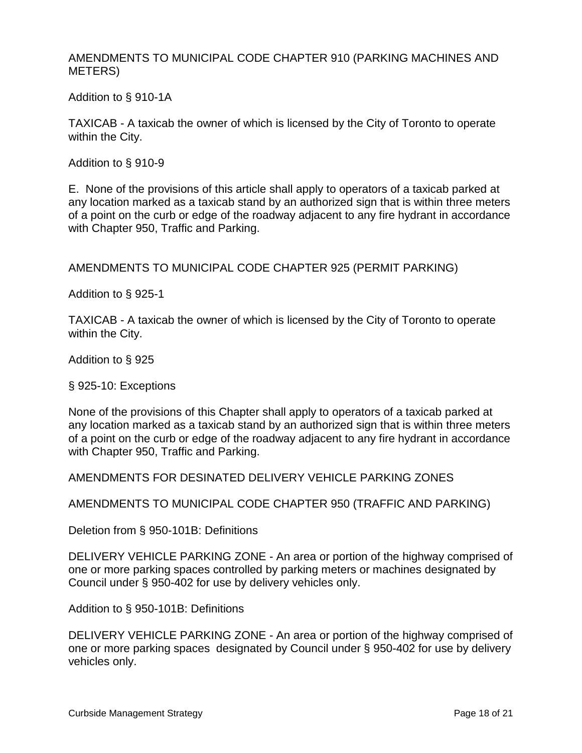AMENDMENTS TO MUNICIPAL CODE CHAPTER 910 (PARKING MACHINES AND METERS)

Addition to § 910-1A

TAXICAB - A taxicab the owner of which is licensed by the City of Toronto to operate within the City.

Addition to § 910-9

E. None of the provisions of this article shall apply to operators of a taxicab parked at any location marked as a taxicab stand by an authorized sign that is within three meters of a point on the curb or edge of the roadway adjacent to any fire hydrant in accordance with Chapter 950, Traffic and Parking.

AMENDMENTS TO MUNICIPAL CODE CHAPTER 925 (PERMIT PARKING)

Addition to § 925-1

TAXICAB - A taxicab the owner of which is licensed by the City of Toronto to operate within the City.

Addition to § 925

§ 925-10: Exceptions

None of the provisions of this Chapter shall apply to operators of a taxicab parked at any location marked as a taxicab stand by an authorized sign that is within three meters of a point on the curb or edge of the roadway adjacent to any fire hydrant in accordance with Chapter 950, Traffic and Parking.

AMENDMENTS FOR DESINATED DELIVERY VEHICLE PARKING ZONES

AMENDMENTS TO MUNICIPAL CODE CHAPTER 950 (TRAFFIC AND PARKING)

Deletion from § 950-101B: Definitions

DELIVERY VEHICLE PARKING ZONE - An area or portion of the highway comprised of one or more parking spaces controlled by parking meters or machines designated by Council under § 950-402 for use by delivery vehicles only.

Addition to § 950-101B: Definitions

DELIVERY VEHICLE PARKING ZONE - An area or portion of the highway comprised of one or more parking spaces designated by Council under § 950-402 for use by delivery vehicles only.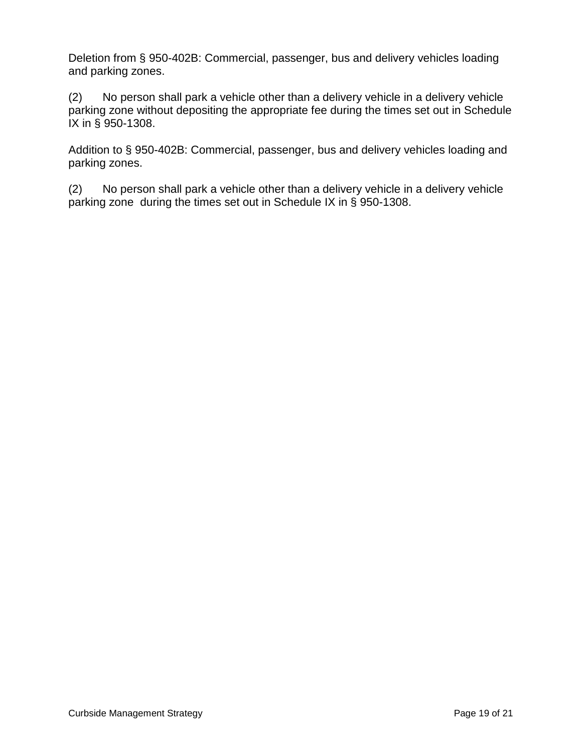Deletion from § 950-402B: Commercial, passenger, bus and delivery vehicles loading and parking zones.

(2) No person shall park a vehicle other than a delivery vehicle in a delivery vehicle parking zone without depositing the appropriate fee during the times set out in Schedule IX in § 950-1308.

Addition to § 950-402B: Commercial, passenger, bus and delivery vehicles loading and parking zones.

(2) No person shall park a vehicle other than a delivery vehicle in a delivery vehicle parking zone during the times set out in Schedule IX in § 950-1308.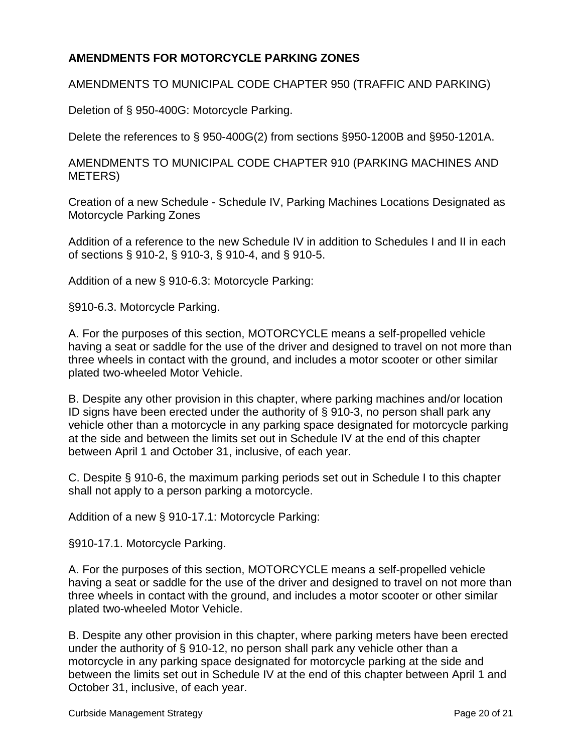#### **AMENDMENTS FOR MOTORCYCLE PARKING ZONES**

AMENDMENTS TO MUNICIPAL CODE CHAPTER 950 (TRAFFIC AND PARKING)

Deletion of § 950-400G: Motorcycle Parking.

Delete the references to § 950-400G(2) from sections §950-1200B and §950-1201A.

AMENDMENTS TO MUNICIPAL CODE CHAPTER 910 (PARKING MACHINES AND METERS)

Creation of a new Schedule - Schedule IV, Parking Machines Locations Designated as Motorcycle Parking Zones

Addition of a reference to the new Schedule IV in addition to Schedules I and II in each of sections § 910-2, § 910-3, § 910-4, and § 910-5.

Addition of a new § 910-6.3: Motorcycle Parking:

§910-6.3. Motorcycle Parking.

A. For the purposes of this section, MOTORCYCLE means a self-propelled vehicle having a seat or saddle for the use of the driver and designed to travel on not more than three wheels in contact with the ground, and includes a motor scooter or other similar plated two-wheeled Motor Vehicle.

B. Despite any other provision in this chapter, where parking machines and/or location ID signs have been erected under the authority of § 910-3, no person shall park any vehicle other than a motorcycle in any parking space designated for motorcycle parking at the side and between the limits set out in Schedule IV at the end of this chapter between April 1 and October 31, inclusive, of each year.

C. Despite § 910-6, the maximum parking periods set out in Schedule I to this chapter shall not apply to a person parking a motorcycle.

Addition of a new § 910-17.1: Motorcycle Parking:

§910-17.1. Motorcycle Parking.

A. For the purposes of this section, MOTORCYCLE means a self-propelled vehicle having a seat or saddle for the use of the driver and designed to travel on not more than three wheels in contact with the ground, and includes a motor scooter or other similar plated two-wheeled Motor Vehicle.

B. Despite any other provision in this chapter, where parking meters have been erected under the authority of § 910-12, no person shall park any vehicle other than a motorcycle in any parking space designated for motorcycle parking at the side and between the limits set out in Schedule IV at the end of this chapter between April 1 and October 31, inclusive, of each year.